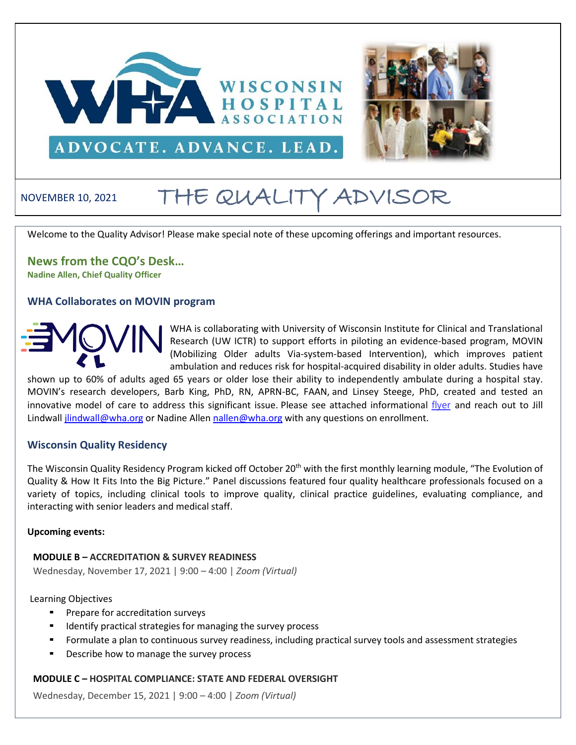



# NOVEMBER 10, 2021 THE QUALITY ADVISOR

Welcome to the Quality Advisor! Please make special note of these upcoming offerings and important resources.

**News from the CQO's Desk… Nadine Allen, Chief Quality Officer**

#### **WHA Collaborates on MOVIN program**



WHA is collaborating with University of Wisconsin Institute for Clinical and Translational Research (UW ICTR) to support efforts in piloting an evidence-based program, MOVIN (Mobilizing Older adults Via-system-based Intervention), which improves patient ambulation and reduces risk for hospital-acquired disability in older adults. Studies have

shown up to 60% of adults aged 65 years or older lose their ability to independently ambulate during a hospital stay. MOVIN's research developers, Barb King, PhD, RN, APRN-BC, FAAN, and Linsey Steege, PhD, created and tested an innovative model of care to address this significant issue. Please see attached informational [flyer](http://www.wha.org/Home/Common-PDFs/UnivWisconsinMOVIN-Informational-Flyer-(1).pdf) and reach out to Jill Lindwal[l jlindwall@wha.org](mailto:jlindwall@wha.org) or Nadine Alle[n nallen@wha.org](mailto:nallen@wha.org) with any questions on enrollment.

#### **Wisconsin Quality Residency**

The Wisconsin Quality Residency Program kicked off October 20<sup>th</sup> with the first monthly learning module, "The Evolution of Quality & How It Fits Into the Big Picture." Panel discussions featured four quality healthcare professionals focused on a variety of topics, including clinical tools to improve quality, clinical practice guidelines, evaluating compliance, and interacting with senior leaders and medical staff.

#### **Upcoming events:**

**MODULE B – ACCREDITATION & SURVEY READINESS**

Wednesday, November 17, 2021 | 9:00 – 4:00 | *Zoom (Virtual)*

#### Learning Objectives

- Prepare for accreditation surveys
- Identify practical strategies for managing the survey process
- Formulate a plan to continuous survey readiness, including practical survey tools and assessment strategies
- Describe how to manage the survey process

#### **MODULE C – HOSPITAL COMPLIANCE: STATE AND FEDERAL OVERSIGHT**

Wednesday, December 15, 2021 | 9:00 – 4:00 | *Zoom (Virtual)*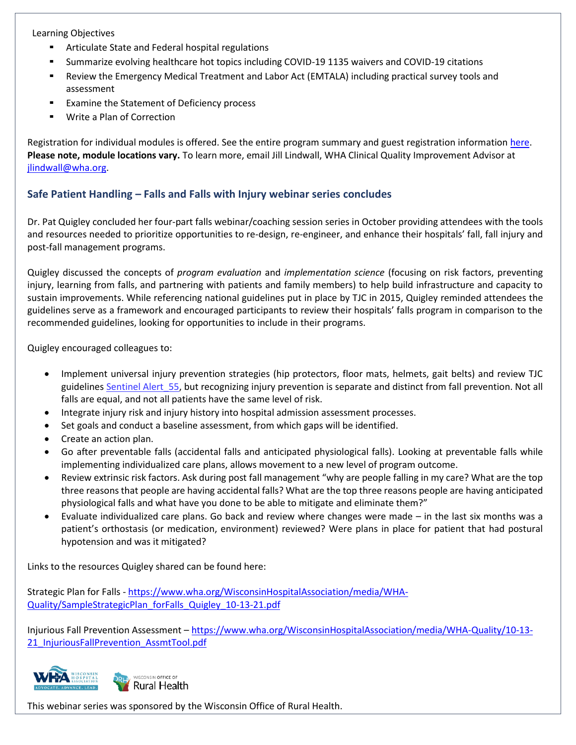Learning Objectives

- Articulate State and Federal hospital regulations
- Summarize evolving healthcare hot topics including COVID-19 1135 waivers and COVID-19 citations
- Review the Emergency Medical Treatment and Labor Act (EMTALA) including practical survey tools and assessment
- Examine the Statement of Deficiency process
- Write a Plan of Correction

Registration for individual modules is offered. See the entire program summary and guest registration information [here.](http://www.wha.org/Home/Common-PDFs/WI-QR-ProgramGUEST-SCHEDULE-2021.pdf) **Please note, module locations vary.** To learn more, email Jill Lindwall, WHA Clinical Quality Improvement Advisor at [jlindwall@wha.org.](mailto:jlindwall@wha.org)

### **Safe Patient Handling – Falls and Falls with Injury webinar series concludes**

Dr. Pat Quigley concluded her four-part falls webinar/coaching session series in October providing attendees with the tools and resources needed to prioritize opportunities to re-design, re-engineer, and enhance their hospitals' fall, fall injury and post-fall management programs.

Quigley discussed the concepts of *program evaluation* and *implementation science* (focusing on risk factors, preventing injury, learning from falls, and partnering with patients and family members) to help build infrastructure and capacity to sustain improvements. While referencing national guidelines put in place by TJC in 2015, Quigley reminded attendees the guidelines serve as a framework and encouraged participants to review their hospitals' falls program in comparison to the recommended guidelines, looking for opportunities to include in their programs.

Quigley encouraged colleagues to:

- Implement universal injury prevention strategies (hip protectors, floor mats, helmets, gait belts) and review TJC guidelines Sentinel Alert 55, but recognizing injury prevention is separate and distinct from fall prevention. Not all falls are equal, and not all patients have the same level of risk.
- Integrate injury risk and injury history into hospital admission assessment processes.
- Set goals and conduct a baseline assessment, from which gaps will be identified.
- Create an action plan.
- Go after preventable falls (accidental falls and anticipated physiological falls). Looking at preventable falls while implementing individualized care plans, allows movement to a new level of program outcome.
- Review extrinsic risk factors. Ask during post fall management "why are people falling in my care? What are the top three reasons that people are having accidental falls? What are the top three reasons people are having anticipated physiological falls and what have you done to be able to mitigate and eliminate them?"
- Evaluate individualized care plans. Go back and review where changes were made in the last six months was a patient's orthostasis (or medication, environment) reviewed? Were plans in place for patient that had postural hypotension and was it mitigated?

Links to the resources Quigley shared can be found here:

Strategic Plan for Falls - [https://www.wha.org/WisconsinHospitalAssociation/media/WHA-](https://www.wha.org/WisconsinHospitalAssociation/media/WHA-Quality/SampleStrategicPlan_forFalls_Quigley_10-13-21.pdf)[Quality/SampleStrategicPlan\\_forFalls\\_Quigley\\_10-13-21.pdf](https://www.wha.org/WisconsinHospitalAssociation/media/WHA-Quality/SampleStrategicPlan_forFalls_Quigley_10-13-21.pdf)

Injurious Fall Prevention Assessment – [https://www.wha.org/WisconsinHospitalAssociation/media/WHA-Quality/10-13-](https://www.wha.org/WisconsinHospitalAssociation/media/WHA-Quality/10-13-21_InjuriousFallPrevention_AssmtTool.pdf) 21 InjuriousFallPrevention AssmtTool.pdf



WISCONSIN OFFICE OF Rural Health

This webinar series was sponsored by the Wisconsin Office of Rural Health.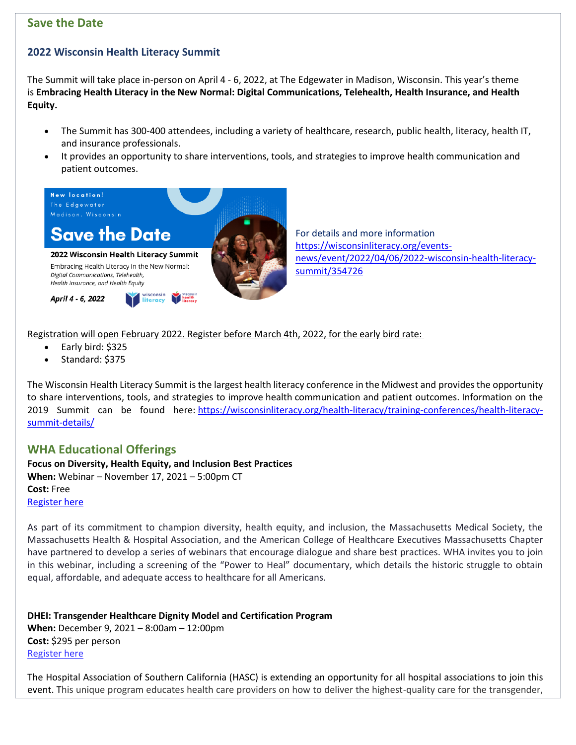## **Save the Date**

# **2022 Wisconsin Health Literacy Summit**

The Summit will take place in-person on April 4 - 6, 2022, at The Edgewater in Madison, Wisconsin. This year's theme is **Embracing Health Literacy in the New Normal: Digital Communications, Telehealth, Health Insurance, and Health Equity.**

- The Summit has 300-400 attendees, including a variety of healthcare, research, public health, literacy, health IT, and insurance professionals.
- It provides an opportunity to share interventions, tools, and strategies to improve health communication and patient outcomes.



For details and more information [https://wisconsinliteracy.org/events](https://wisconsinliteracy.org/events-news/event/2022/04/06/2022-wisconsin-health-literacy-summit/354726)[news/event/2022/04/06/2022-wisconsin-health-literacy](https://wisconsinliteracy.org/events-news/event/2022/04/06/2022-wisconsin-health-literacy-summit/354726)[summit/354726](https://wisconsinliteracy.org/events-news/event/2022/04/06/2022-wisconsin-health-literacy-summit/354726)

Registration will open February 2022. Register before March 4th, 2022, for the early bird rate:

- Early bird: \$325
- Standard: \$375

The Wisconsin Health Literacy Summit is the largest health literacy conference in the Midwest and provides the opportunity to share interventions, tools, and strategies to improve health communication and patient outcomes. Information on the 2019 Summit can be found here: [https://wisconsinliteracy.org/health-literacy/training-conferences/health-literacy](https://nam12.safelinks.protection.outlook.com/?url=https%3A%2F%2Flinkprotect.cudasvc.com%2Furl%3Fa%3Dhttps%253a%252f%252fwisconsinliteracy.org%252fhealth-literacy%252ftraining-conferences%252fhealth-literacy-summit-details%252f%26c%3DE%2C1%2C0wPiBe_eGMvydumR4uqwYwTsRnHBqOJQMtZCkgiO3YNDhsnodj26wj7bQOvkFxjP7AI7QQJQYSFM37YrkkJ13FhqShKOn9TucwrsrBqSGQQE1wDPgKilhjE%2C%26typo%3D1&data=04%7C01%7Cbhumi%40wisconsinliteracy.org%7C468a5c78ac204d3bba0708d98d85f45f%7Cf55fde41bf2b4ddba2fd72a7e2d7944f%7C1%7C0%7C637696429779501778%7CUnknown%7CTWFpbGZsb3d8eyJWIjoiMC4wLjAwMDAiLCJQIjoiV2luMzIiLCJBTiI6Ik1haWwiLCJXVCI6Mn0%3D%7C1000&sdata=wloyDEtBcVXQx9ZRQkVzrs7jCXjxa0H26TqcEXmy3Tk%3D&reserved=0)[summit-details/](https://nam12.safelinks.protection.outlook.com/?url=https%3A%2F%2Flinkprotect.cudasvc.com%2Furl%3Fa%3Dhttps%253a%252f%252fwisconsinliteracy.org%252fhealth-literacy%252ftraining-conferences%252fhealth-literacy-summit-details%252f%26c%3DE%2C1%2C0wPiBe_eGMvydumR4uqwYwTsRnHBqOJQMtZCkgiO3YNDhsnodj26wj7bQOvkFxjP7AI7QQJQYSFM37YrkkJ13FhqShKOn9TucwrsrBqSGQQE1wDPgKilhjE%2C%26typo%3D1&data=04%7C01%7Cbhumi%40wisconsinliteracy.org%7C468a5c78ac204d3bba0708d98d85f45f%7Cf55fde41bf2b4ddba2fd72a7e2d7944f%7C1%7C0%7C637696429779501778%7CUnknown%7CTWFpbGZsb3d8eyJWIjoiMC4wLjAwMDAiLCJQIjoiV2luMzIiLCJBTiI6Ik1haWwiLCJXVCI6Mn0%3D%7C1000&sdata=wloyDEtBcVXQx9ZRQkVzrs7jCXjxa0H26TqcEXmy3Tk%3D&reserved=0)

# **WHA Educational Offerings**

**Focus on Diversity, Health Equity, and Inclusion Best Practices When:** Webinar – November 17, 2021 – 5:00pm CT **Cost:** Free [Register](https://mhalink.zoom.us/webinar/register/WN_F4Ww6P-BTBOvcOWSDAIk6g) here

As part of its commitment to champion diversity, health equity, and inclusion, the Massachusetts Medical Society, the Massachusetts Health & Hospital Association, and the American College of Healthcare Executives Massachusetts Chapter have partnered to develop a series of webinars that encourage dialogue and share best practices. WHA invites you to join in this webinar, including a screening of the "Power to Heal" documentary, which details the historic struggle to obtain equal, affordable, and adequate access to healthcare for all Americans.

**DHEI: Transgender Healthcare Dignity Model and Certification Program When:** December 9, 2021 – 8:00am – 12:00pm **Cost:** \$295 per person [Register](https://hasc.us2.list-manage.com/track/click?u=e9b161a39ae04e78ee9108b12&id=34b3dee021&e=d6476d7100) here

The Hospital Association of Southern California (HASC) is extending an opportunity for all hospital associations to join this event. This unique program educates health care providers on how to deliver the highest-quality care for the transgender,